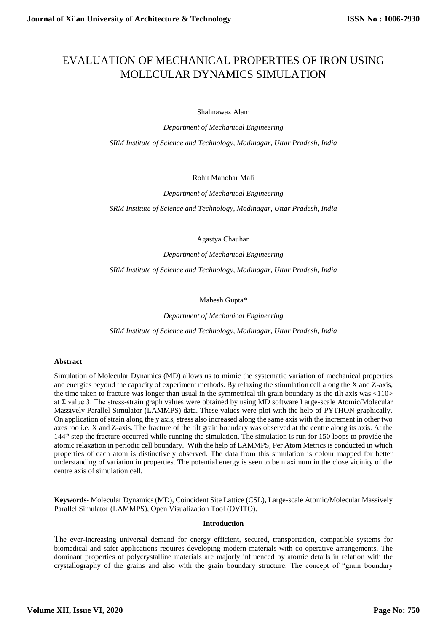# EVALUATION OF MECHANICAL PROPERTIES OF IRON USING MOLECULAR DYNAMICS SIMULATION

Shahnawaz Alam

*Department of Mechanical Engineering SRM Institute of Science and Technology, Modinagar, Uttar Pradesh, India*

Rohit Manohar Mali

*Department of Mechanical Engineering*

*SRM Institute of Science and Technology, Modinagar, Uttar Pradesh, India*

Agastya Chauhan

*Department of Mechanical Engineering*

*SRM Institute of Science and Technology, Modinagar, Uttar Pradesh, India*

Mahesh Gupta*\**

*Department of Mechanical Engineering SRM Institute of Science and Technology, Modinagar, Uttar Pradesh, India*

## **Abstract**

Simulation of Molecular Dynamics (MD) allows us to mimic the systematic variation of mechanical properties and energies beyond the capacity of experiment methods. By relaxing the stimulation cell along the X and Z-axis, the time taken to fracture was longer than usual in the symmetrical tilt grain boundary as the tilt axis was <110> at Σ value 3. The stress-strain graph values were obtained by using MD software Large-scale Atomic/Molecular Massively Parallel Simulator (LAMMPS) data. These values were plot with the help of PYTHON graphically. On application of strain along the y axis, stress also increased along the same axis with the increment in other two axes too i.e. X and Z-axis. The fracture of the tilt grain boundary was observed at the centre along its axis. At the 144th step the fracture occurred while running the simulation. The simulation is run for 150 loops to provide the atomic relaxation in periodic cell boundary. With the help of LAMMPS, Per Atom Metrics is conducted in which properties of each atom is distinctively observed. The data from this simulation is colour mapped for better understanding of variation in properties. The potential energy is seen to be maximum in the close vicinity of the centre axis of simulation cell.

**Keywords-** Molecular Dynamics (MD), Coincident Site Lattice (CSL), Large-scale Atomic/Molecular Massively Parallel Simulator (LAMMPS), Open Visualization Tool (OVITO).

## **Introduction**

The ever-increasing universal demand for energy efficient, secured, transportation, compatible systems for biomedical and safer applications requires developing modern materials with co-operative arrangements. The dominant properties of polycrystalline materials are majorly influenced by atomic details in relation with the crystallography of the grains and also with the grain boundary structure. The concept of "grain boundary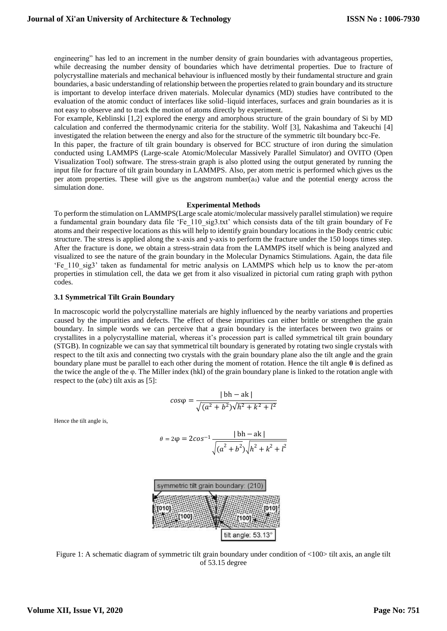engineering" has led to an increment in the number density of grain boundaries with advantageous properties, while decreasing the number density of boundaries which have detrimental properties. Due to fracture of polycrystalline materials and mechanical behaviour is influenced mostly by their fundamental structure and grain boundaries, a basic understanding of relationship between the properties related to grain boundary and its structure is important to develop interface driven materials. Molecular dynamics (MD) studies have contributed to the evaluation of the atomic conduct of interfaces like solid–liquid interfaces, surfaces and grain boundaries as it is not easy to observe and to track the motion of atoms directly by experiment.

For example, Keblinski [1,2] explored the energy and amorphous structure of the grain boundary of Si by MD calculation and conferred the thermodynamic criteria for the stability. Wolf [3], Nakashima and Takeuchi [4] investigated the relation between the energy and also for the structure of the symmetric tilt boundary bcc-Fe.

In this paper, the fracture of tilt grain boundary is observed for BCC structure of iron during the simulation conducted using LAMMPS (Large-scale Atomic/Molecular Massively Parallel Simulator) and OVITO (Open Visualization Tool) software. The stress-strain graph is also plotted using the output generated by running the input file for fracture of tilt grain boundary in LAMMPS. Also, per atom metric is performed which gives us the per atom properties. These will give us the angstrom number $(a<sub>0</sub>)$  value and the potential energy across the simulation done.

## **Experimental Methods**

To perform the stimulation on LAMMPS(Large scale atomic/molecular massively parallel stimulation) we require a fundamental grain boundary data file 'Fe\_110\_sig3.txt' which consists data of the tilt grain boundary of Fe atoms and their respective locations as this will help to identify grain boundary locations in the Body centric cubic structure. The stress is applied along the x-axis and y-axis to perform the fracture under the 150 loops times step. After the fracture is done, we obtain a stress-strain data from the LAMMPS itself which is being analyzed and visualized to see the nature of the grain boundary in the Molecular Dynamics Stimulations. Again, the data file 'Fe\_110\_sig3' taken as fundamental for metric analysis on LAMMPS which help us to know the per-atom properties in stimulation cell, the data we get from it also visualized in pictorial cum rating graph with python codes.

## **3.1 Symmetrical Tilt Grain Boundary**

In macroscopic world the polycrystalline materials are highly influenced by the nearby variations and properties caused by the impurities and defects. The effect of these impurities can either brittle or strengthen the grain boundary. In simple words we can perceive that a grain boundary is the interfaces between two grains or crystallites in a polycrystalline material, whereas it's procession part is called symmetrical tilt grain boundary (STGB). In cognizable we can say that symmetrical tilt boundary is generated by rotating two single crystals with respect to the tilt axis and connecting two crystals with the grain boundary plane also the tilt angle and the grain boundary plane must be parallel to each other during the moment of rotation. Hence the tilt angle **θ** is defined as the twice the angle of the φ. The Miller index (hkl) of the grain boundary plane is linked to the rotation angle with respect to the (*abc*) tilt axis as [5]:

$$
cos\varphi = \frac{|\text{ bh} - \text{ak}|}{\sqrt{(a^2 + b^2)}\sqrt{h^2 + k^2 + l^2}}
$$

Hence the tilt angle is,

$$
\theta = 2\varphi = 2\cos^{-1}\frac{|\text{ bh} - \text{ak}|}{\sqrt{(a^2 + b^2)}\sqrt{h^2 + k^2 + l^2}}
$$



Figure 1: A schematic diagram of symmetric tilt grain boundary under condition of <100> tilt axis, an angle tilt of 53.15 degree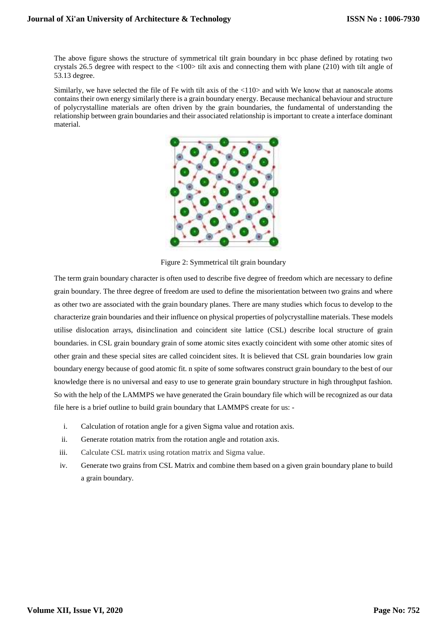The above figure shows the structure of symmetrical tilt grain boundary in bcc phase defined by rotating two crystals 26.5 degree with respect to the <100> tilt axis and connecting them with plane (210) with tilt angle of 53.13 degree.

Similarly, we have selected the file of Fe with tilt axis of the <110> and with We know that at nanoscale atoms contains their own energy similarly there is a grain boundary energy. Because mechanical behaviour and structure of polycrystalline materials are often driven by the grain boundaries, the fundamental of understanding the relationship between grain boundaries and their associated relationship is important to create a interface dominant material.



Figure 2: Symmetrical tilt grain boundary

The term grain boundary character is often used to describe five degree of freedom which are necessary to define grain boundary. The three degree of freedom are used to define the misorientation between two grains and where as other two are associated with the grain boundary planes. There are many studies which focus to develop to the characterize grain boundaries and their influence on physical properties of polycrystalline materials. These models utilise dislocation arrays, disinclination and coincident site lattice (CSL) describe local structure of grain boundaries. in CSL grain boundary grain of some atomic sites exactly coincident with some other atomic sites of other grain and these special sites are called coincident sites. It is believed that CSL grain boundaries low grain boundary energy because of good atomic fit. n spite of some softwares construct grain boundary to the best of our knowledge there is no universal and easy to use to generate grain boundary structure in high throughput fashion. So with the help of the LAMMPS we have generated the Grain boundary file which will be recognized as our data file here is a brief outline to build grain boundary that LAMMPS create for us: -

- i. Calculation of rotation angle for a given Sigma value and rotation axis.
- ii. Generate rotation matrix from the rotation angle and rotation axis.
- iii. Calculate CSL matrix using rotation matrix and Sigma value.
- iv. Generate two grains from CSL Matrix and combine them based on a given grain boundary plane to build a grain boundary.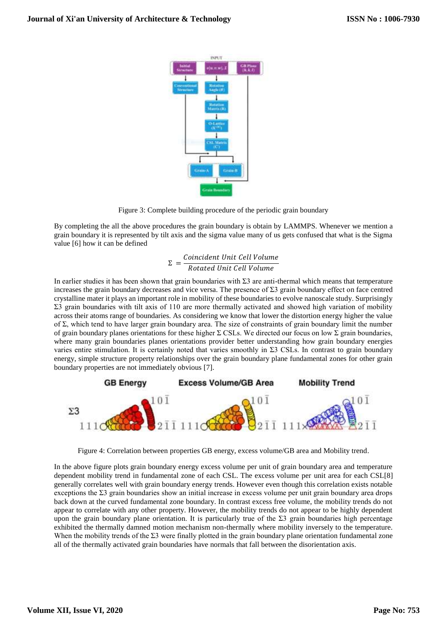

Figure 3: Complete building procedure of the periodic grain boundary

By completing the all the above procedures the grain boundary is obtain by LAMMPS. Whenever we mention a grain boundary it is represented by tilt axis and the sigma value many of us gets confused that what is the Sigma value [6] how it can be defined

$$
\Sigma = \frac{Coincident\ Unit\ Cell\ Volume}{Rotated\ Unit\ Cell\ Volume}
$$

In earlier studies it has been shown that grain boundaries with  $\Sigma$ 3 are anti-thermal which means that temperature increases the grain boundary decreases and vice versa. The presence of  $\Sigma$ 3 grain boundary effect on face centred crystalline mater it plays an important role in mobility of these boundaries to evolve nanoscale study. Surprisingly Σ3 grain boundaries with tilt axis of 110 are more thermally activated and showed high variation of mobility across their atoms range of boundaries. As considering we know that lower the distortion energy higher the value of Σ, which tend to have larger grain boundary area. The size of constraints of grain boundary limit the number of grain boundary planes orientations for these higher  $\Sigma$  CSLs. We directed our focus on low  $\Sigma$  grain boundaries, where many grain boundaries planes orientations provider better understanding how grain boundary energies varies entire stimulation. It is certainly noted that varies smoothly in Σ3 CSLs. In contrast to grain boundary energy, simple structure property relationships over the grain boundary plane fundamental zones for other grain boundary properties are not immediately obvious [7].



Figure 4: Correlation between properties GB energy, excess volume/GB area and Mobility trend.

In the above figure plots grain boundary energy excess volume per unit of grain boundary area and temperature dependent mobility trend in fundamental zone of each CSL. The excess volume per unit area for each CSL[8] generally correlates well with grain boundary energy trends. However even though this correlation exists notable exceptions the Σ3 grain boundaries show an initial increase in excess volume per unit grain boundary area drops back down at the curved fundamental zone boundary. In contrast excess free volume, the mobility trends do not appear to correlate with any other property. However, the mobility trends do not appear to be highly dependent upon the grain boundary plane orientation. It is particularly true of the  $\Sigma$ 3 grain boundaries high percentage exhibited the thermally damned motion mechanism non-thermally where mobility inversely to the temperature. When the mobility trends of the Σ3 were finally plotted in the grain boundary plane orientation fundamental zone all of the thermally activated grain boundaries have normals that fall between the disorientation axis.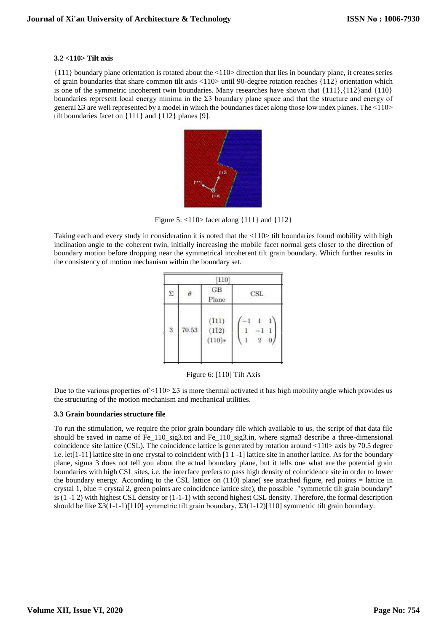## **3.2 <110> Tilt axis**

{111} boundary plane orientation is rotated about the <110> direction that lies in boundary plane, it creates series of grain boundaries that share common tilt axis <110> until 90-degree rotation reaches {112} orientation which is one of the symmetric incoherent twin boundaries. Many researches have shown that  $\{111\},\{112\}$  and  $\{110\}$ boundaries represent local energy minima in the Σ3 boundary plane space and that the structure and energy of general  $\Sigma$ 3 are well represented by a model in which the boundaries facet along those low index planes. The  $\leq$ 110> tilt boundaries facet on {111} and {112} planes [9].



Figure 5: <110> facet along {111} and {112}

Taking each and every study in consideration it is noted that the <110> tilt boundaries found mobility with high inclination angle to the coherent twin, initially increasing the mobile facet normal gets closer to the direction of boundary motion before dropping near the symmetrical incoherent tilt grain boundary. Which further results in the consistency of motion mechanism within the boundary set.

| [110] |       |                            |                 |
|-------|-------|----------------------------|-----------------|
|       |       | GB<br>Plane                | $_{\rm CSL}$    |
| 3     | 70.53 | (T11)<br>(112)<br>$(110)*$ | $-1$<br>$\,2\,$ |

Figure 6: [110] Tilt Axis

Due to the various properties of  $\leq$ 110 $\geq$  23 is more thermal activated it has high mobility angle which provides us the structuring of the motion mechanism and mechanical utilities.

## **3.3 Grain boundaries structure file**

To run the stimulation, we require the prior grain boundary file which available to us, the script of that data file should be saved in name of Fe\_110\_sig3.txt and Fe\_110\_sig3.in, where sigma3 describe a three-dimensional coincidence site lattice (CSL). The coincidence lattice is generated by rotation around  $\langle 110 \rangle$  axis by 70.5 degree i.e. let[1-11] lattice site in one crystal to coincident with [1 1 -1] lattice site in another lattice. As for the boundary plane, sigma 3 does not tell you about the actual boundary plane, but it tells one what are the potential grain boundaries with high CSL sites, i.e. the interface prefers to pass high density of coincidence site in order to lower the boundary energy. According to the CSL lattice on (110) plane( see attached figure, red points = lattice in crystal 1, blue = crystal 2, green points are coincidence lattice site), the possible "symmetric tilt grain boundary" is (1 -1 2) with highest CSL density or (1-1-1) with second highest CSL density. Therefore, the formal description should be like Σ3(1-1-1)[110] symmetric tilt grain boundary, Σ3(1-12)[110] symmetric tilt grain boundary.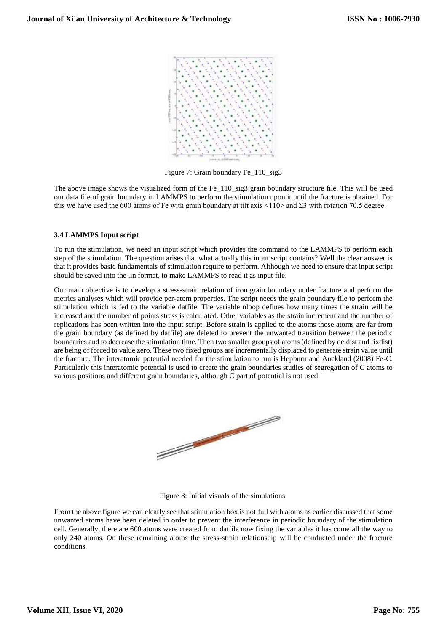

Figure 7: Grain boundary Fe\_110\_sig3

The above image shows the visualized form of the Fe\_110\_sig3 grain boundary structure file. This will be used our data file of grain boundary in LAMMPS to perform the stimulation upon it until the fracture is obtained. For this we have used the 600 atoms of Fe with grain boundary at tilt axis <110> and Σ3 with rotation 70.5 degree.

## **3.4 LAMMPS Input script**

To run the stimulation, we need an input script which provides the command to the LAMMPS to perform each step of the stimulation. The question arises that what actually this input script contains? Well the clear answer is that it provides basic fundamentals of stimulation require to perform. Although we need to ensure that input script should be saved into the .in format, to make LAMMPS to read it as input file.

Our main objective is to develop a stress-strain relation of iron grain boundary under fracture and perform the metrics analyses which will provide per-atom properties. The script needs the grain boundary file to perform the stimulation which is fed to the variable datfile. The variable nloop defines how many times the strain will be increased and the number of points stress is calculated. Other variables as the strain increment and the number of replications has been written into the input script. Before strain is applied to the atoms those atoms are far from the grain boundary (as defined by datfile) are deleted to prevent the unwanted transition between the periodic boundaries and to decrease the stimulation time. Then two smaller groups of atoms (defined by deldist and fixdist) are being of forced to value zero. These two fixed groups are incrementally displaced to generate strain value until the fracture. The interatomic potential needed for the stimulation to run is Hepburn and Auckland (2008) Fe-C. Particularly this interatomic potential is used to create the grain boundaries studies of segregation of C atoms to various positions and different grain boundaries, although C part of potential is not used.



Figure 8: Initial visuals of the simulations.

From the above figure we can clearly see that stimulation box is not full with atoms as earlier discussed that some unwanted atoms have been deleted in order to prevent the interference in periodic boundary of the stimulation cell. Generally, there are 600 atoms were created from datfile now fixing the variables it has come all the way to only 240 atoms. On these remaining atoms the stress-strain relationship will be conducted under the fracture conditions.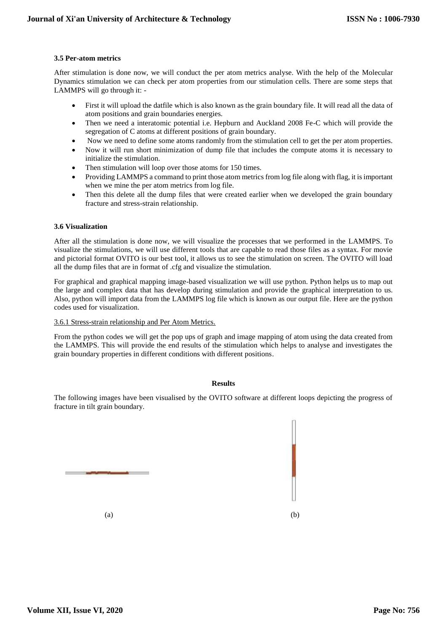## **3.5 Per-atom metrics**

After stimulation is done now, we will conduct the per atom metrics analyse. With the help of the Molecular Dynamics stimulation we can check per atom properties from our stimulation cells. There are some steps that LAMMPS will go through it: -

- First it will upload the datfile which is also known as the grain boundary file. It will read all the data of atom positions and grain boundaries energies.
- Then we need a interatomic potential i.e. Hepburn and Auckland 2008 Fe-C which will provide the segregation of C atoms at different positions of grain boundary.
- Now we need to define some atoms randomly from the stimulation cell to get the per atom properties.
- Now it will run short minimization of dump file that includes the compute atoms it is necessary to initialize the stimulation.
- Then stimulation will loop over those atoms for 150 times.
- Providing LAMMPS a command to print those atom metrics from log file along with flag, it is important when we mine the per atom metrics from log file.
- Then this delete all the dump files that were created earlier when we developed the grain boundary fracture and stress-strain relationship.

## **3.6 Visualization**

After all the stimulation is done now, we will visualize the processes that we performed in the LAMMPS. To visualize the stimulations, we will use different tools that are capable to read those files as a syntax. For movie and pictorial format OVITO is our best tool, it allows us to see the stimulation on screen. The OVITO will load all the dump files that are in format of .cfg and visualize the stimulation.

For graphical and graphical mapping image-based visualization we will use python. Python helps us to map out the large and complex data that has develop during stimulation and provide the graphical interpretation to us. Also, python will import data from the LAMMPS log file which is known as our output file. Here are the python codes used for visualization.

## 3.6.1 Stress-strain relationship and Per Atom Metrics.

From the python codes we will get the pop ups of graph and image mapping of atom using the data created from the LAMMPS. This will provide the end results of the stimulation which helps to analyse and investigates the grain boundary properties in different conditions with different positions.

## **Results**

The following images have been visualised by the OVITO software at different loops depicting the progress of fracture in tilt grain boundary.

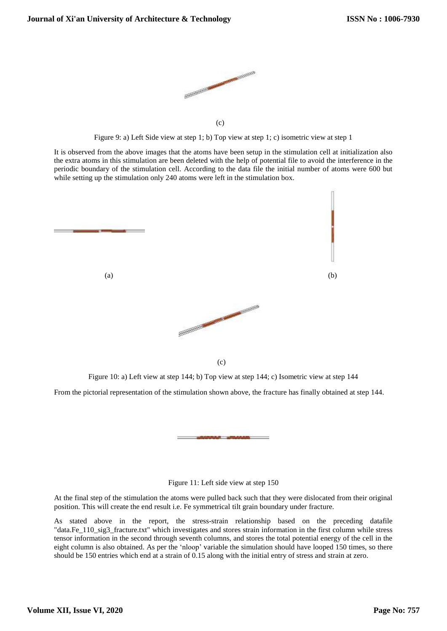

Figure 9: a) Left Side view at step 1; b) Top view at step 1; c) isometric view at step 1

It is observed from the above images that the atoms have been setup in the stimulation cell at initialization also the extra atoms in this stimulation are been deleted with the help of potential file to avoid the interference in the periodic boundary of the stimulation cell. According to the data file the initial number of atoms were 600 but while setting up the stimulation only 240 atoms were left in the stimulation box.



Figure 10: a) Left view at step 144; b) Top view at step 144; c) Isometric view at step 144

From the pictorial representation of the stimulation shown above, the fracture has finally obtained at step 144.

## Figure 11: Left side view at step 150

At the final step of the stimulation the atoms were pulled back such that they were dislocated from their original position. This will create the end result i.e. Fe symmetrical tilt grain boundary under fracture.

As stated above in the report, the stress-strain relationship based on the preceding datafile "data.Fe\_110\_sig3\_fracture.txt" which investigates and stores strain information in the first column while stress tensor information in the second through seventh columns, and stores the total potential energy of the cell in the eight column is also obtained. As per the 'nloop' variable the simulation should have looped 150 times, so there should be 150 entries which end at a strain of 0.15 along with the initial entry of stress and strain at zero.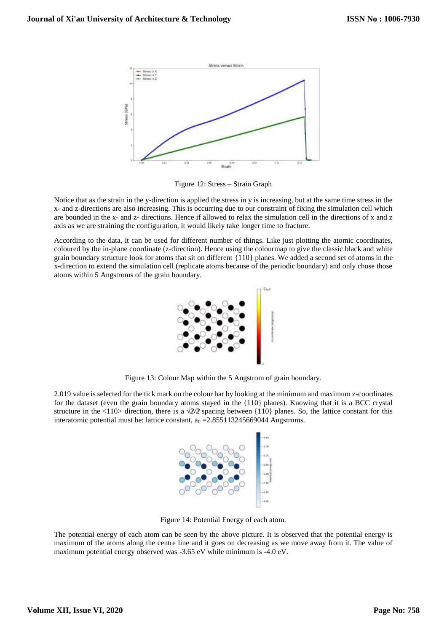

Figure 12: Stress – Strain Graph

Notice that as the strain in the y-direction is applied the stress in y is increasing, but at the same time stress in the x- and z-directions are also increasing. This is occurring due to our constraint of fixing the simulation cell which are bounded in the x- and z- directions. Hence if allowed to relax the simulation cell in the directions of x and z axis as we are straining the configuration, it would likely take longer time to fracture.

According to the data, it can be used for different number of things. Like just plotting the atomic coordinates, coloured by the in-plane coordinate (z-direction). Hence using the colourmap to give the classic black and white grain boundary structure look for atoms that sit on different {110} planes. We added a second set of atoms in the x-direction to extend the simulation cell (replicate atoms because of the periodic boundary) and only chose those atoms within 5 Angstroms of the grain boundary.



Figure 13: Colour Map within the 5 Angstrom of grain boundary.

2.019 value is selected for the tick mark on the colour bar by looking at the minimum and maximum z-coordinates for the dataset (even the grain boundary atoms stayed in the {110} planes). Knowing that it is a BCC crystal structure in the <110> direction, there is a  $\sqrt{2}/2$  spacing between {110} planes. So, the lattice constant for this interatomic potential must be: lattice constant,  $a_0 = 2.855113245669044$  Angstroms.



Figure 14: Potential Energy of each atom.

The potential energy of each atom can be seen by the above picture. It is observed that the potential energy is maximum of the atoms along the centre line and it goes on decreasing as we move away from it. The value of maximum potential energy observed was -3.65 eV while minimum is -4.0 eV.